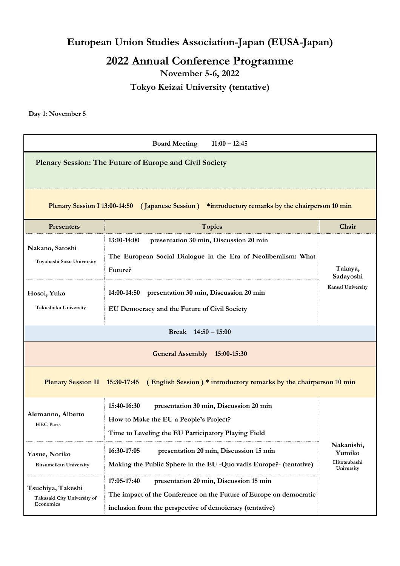**European Union Studies Association-Japan (EUSA-Japan)**

**2022 Annual Conference Programme November 5-6, 2022 Tokyo Keizai University (tentative)**

**Day 1: November 5**

| <b>Board Meeting</b><br>$11:00 - 12:45$                                                              |                                                                                                                                                                                         |                                                    |  |  |
|------------------------------------------------------------------------------------------------------|-----------------------------------------------------------------------------------------------------------------------------------------------------------------------------------------|----------------------------------------------------|--|--|
|                                                                                                      | Plenary Session: The Future of Europe and Civil Society                                                                                                                                 |                                                    |  |  |
| Plenary Session I 13:00-14:50 (Japanese Session) *introductory remarks by the chairperson 10 min     |                                                                                                                                                                                         |                                                    |  |  |
| Presenters                                                                                           | <b>Topics</b>                                                                                                                                                                           | Chair                                              |  |  |
| Nakano, Satoshi<br>Toyohashi Sozo University                                                         | presentation 30 min, Discussion 20 min<br>13:10-14:00<br>The European Social Dialogue in the Era of Neoliberalism: What<br>Future?                                                      | Takaya,<br>Sadayoshi<br>Kansai University          |  |  |
| Hosoi, Yuko<br>Takushoku University                                                                  | presentation 30 min, Discussion 20 min<br>14:00-14:50<br>EU Democracy and the Future of Civil Society                                                                                   |                                                    |  |  |
|                                                                                                      | Break $14:50 - 15:00$                                                                                                                                                                   |                                                    |  |  |
| General Assembly 15:00-15:30                                                                         |                                                                                                                                                                                         |                                                    |  |  |
| (English Session) * introductory remarks by the chairperson 10 min<br>Plenary Session II 15:30-17:45 |                                                                                                                                                                                         |                                                    |  |  |
| Alemanno, Alberto<br><b>HEC</b> Paris                                                                | 15:40-16:30<br>presentation 30 min, Discussion 20 min<br>How to Make the EU a People's Project?<br>Time to Leveling the EU Participatory Playing Field                                  | Nakanishi,<br>Yumiko<br>Hitotsubashi<br>University |  |  |
| Yasue, Noriko<br>Ritsumeikan University                                                              | 16:30-17:05<br>presentation 20 min, Discussion 15 min<br>Making the Public Sphere in the EU -Quo vadis Europe?- (tentative)                                                             |                                                    |  |  |
| Tsuchiya, Takeshi<br>Takasaki City University of<br>Economics                                        | 17:05-17:40<br>presentation 20 min, Discussion 15 min<br>The impact of the Conference on the Future of Europe on democratic<br>inclusion from the perspective of demoicracy (tentative) |                                                    |  |  |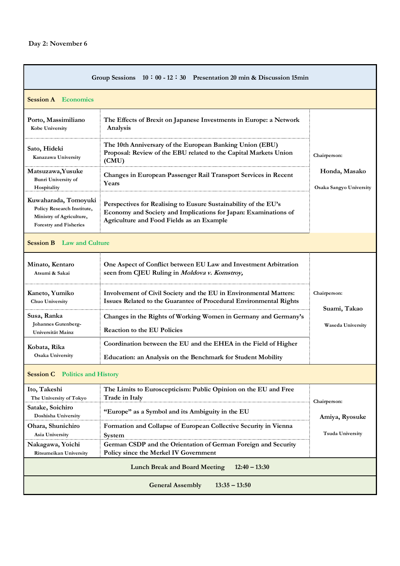r

| Group Sessions $10:00 - 12:30$ Presentation 20 min & Discussion 15min                                    |                                                                                                                                                                                 |                                                           |  |
|----------------------------------------------------------------------------------------------------------|---------------------------------------------------------------------------------------------------------------------------------------------------------------------------------|-----------------------------------------------------------|--|
| <b>Session A</b> Economics                                                                               |                                                                                                                                                                                 |                                                           |  |
| Porto, Massimiliano<br>Kobe University                                                                   | The Effects of Brexit on Japanese Investments in Europe: a Network<br>Analysis                                                                                                  | Chairperson:<br>Honda, Masako<br>Osaka Sangyo University  |  |
| Sato, Hideki<br>Kanazawa University                                                                      | The 10th Anniversary of the European Banking Union (EBU)<br>Proposal: Review of the EBU related to the Capital Markets Union<br>(CMU)                                           |                                                           |  |
| Matsuzawa, Yusuke<br><b>Bunri University of</b><br>Hospitality                                           | Changes in European Passenger Rail Transport Services in Recent<br>Years                                                                                                        |                                                           |  |
| Kuwaharada, Tomoyuki<br>Policy Research Institute,<br>Ministry of Agriculture,<br>Forestry and Fisheries | Perspectives for Realising to Eusure Sustainability of the EU's<br>Economy and Society and Implications for Japan: Examinations of<br>Agriculture and Food Fields as an Example |                                                           |  |
| <b>Session B</b> Law and Culture                                                                         |                                                                                                                                                                                 |                                                           |  |
| Minato, Kentaro<br>Atsumi & Sakai                                                                        | One Aspect of Conflict between EU Law and Investment Arbitration<br>seen from CJEU Ruling in Moldova v. Komstroy,                                                               | Chairperson:<br>Suami, Takao<br><b>Waseda University</b>  |  |
| Kaneto, Yumiko<br>Chuo University                                                                        | Involvement of Civil Society and the EU in Environmental Matters:<br>Issues Related to the Guarantee of Procedural Environmental Rights                                         |                                                           |  |
| Susa, Ranka<br>Johannes Gutenberg-<br>Universität Mainz                                                  | Changes in the Rights of Working Women in Germany and Germany's<br><b>Reaction to the EU Policies</b>                                                                           |                                                           |  |
| Kobata, Rika<br><b>Osaka University</b>                                                                  | Coordination between the EU and the EHEA in the Field of Higher<br>Education: an Analysis on the Benchmark for Student Mobility                                                 |                                                           |  |
| <b>Session C</b> Politics and History                                                                    |                                                                                                                                                                                 |                                                           |  |
| Ito, Takeshi<br>The University of Tokyo                                                                  | The Limits to Euroscepticism: Public Opinion on the EU and Free<br>Trade in Italy                                                                                               | Chairperson:<br>Amiya, Ryosuke<br><b>Tsuda University</b> |  |
| Satake, Soichiro<br>Doshisha University                                                                  | "Europe" as a Symbol and its Ambiguity in the EU                                                                                                                                |                                                           |  |
| Ohara, Shunichiro<br>Asia University                                                                     | Formation and Collapse of European Collective Security in Vienna<br>System                                                                                                      |                                                           |  |
| Nakagawa, Yoichi<br>Ritsumeikan University                                                               | German CSDP and the Orientation of German Foreign and Security<br>Policy since the Merkel IV Government                                                                         |                                                           |  |
| $12:40 - 13:30$<br><b>Lunch Break and Board Meeting</b>                                                  |                                                                                                                                                                                 |                                                           |  |
| <b>General Assembly</b><br>$13:35 - 13:50$                                                               |                                                                                                                                                                                 |                                                           |  |